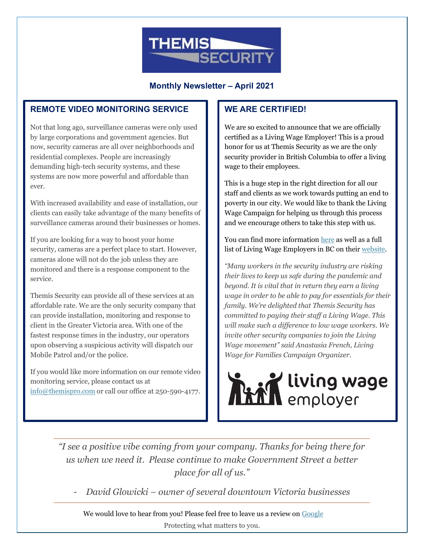

**Monthly Newsletter – April 2021**

# **REMOTE VIDEO MONITORING SERVICE**

Not that long ago, surveillance cameras were only used by large corporations and government agencies. But now, security cameras are all over neighborhoods and residential complexes. People are increasingly demanding high-tech security systems, and these systems are now more powerful and affordable than ever.

With increased availability and ease of installation, our clients can easily take advantage of the many benefits of surveillance cameras around their businesses or homes.

If you are looking for a way to boost your home security, cameras are a perfect place to start. However, cameras alone will not do the job unless they are monitored and there is a response component to the service.

Themis Security can provide all of these services at an affordable rate. We are the only security company that can provide installation, monitoring and response to client in the Greater Victoria area. With one of the fastest response times in the industry, our operators upon observing a suspicious activity will dispatch our Mobile Patrol and/or the police.

If you would like more information on our remote video monitoring service, please contact us at [info@themispro.com](mailto:info@themispro.com) or call our office at 250-590-4177.

## **WE ARE CERTIFIED!**

We are so excited to announce that we are officially certified as a Living Wage Employer! This is a proud honor for us at Themis Security as we are the only security provider in British Columbia to offer a living wage to their employees.

This is a huge step in the right direction for all our staff and clients as we work towards putting an end to poverty in our city. We would like to thank the Living Wage Campaign for helping us through this process and we encourage others to take this step with us.

You can find more informatio[n here](https://www.livingwageforfamilies.ca/themis) as well as a full list of Living Wage Employers in BC on thei[r website.](https://www.livingwageforfamilies.ca/)

*"Many workers in the security industry are risking their lives to keep us safe during the pandemic and beyond. It is vital that in return they earn a living wage in order to be able to pay for essentials for their family. We're delighted that Themis Security has committed to paying their staff a Living Wage. This will make such a difference to low wage workers. We invite other security companies to join the Living Wage movement" said Anastasia French, Living Wage for Families Campaign Organizer.*



*"I see a positive vibe coming from your company. Thanks for being there for us when we need it. Please continue to make Government Street a better place for all of us."* 

- *David Glowicki – owner of several downtown Victoria businesses* 

Protecting what matters to you. We would love to hear from you! Please feel free to leave us a review on [Google](https://www.google.com/search?gs_ssp=eJzj4tZP1zcsyc4uyc41MGC0UjWoMDWxSDMHYjMLY7NkAzNzK4MKM0MjC0szQ4O0RAMzY0ODRC_-kozU3MxiheLU5NKizJJKAJevFBE&q=themis+security&rlz=1C1CHBF_enCA907CA907&oq=themis+se&aqs=chrome.1.0i355i457j46i175i199j69i57j0l2j69i61j69i60l2.3348j1j7&sourceid=chrome&ie=UTF-8#lrd=0x548f748f6836c067:0x61289610fa06310a,1,,,)